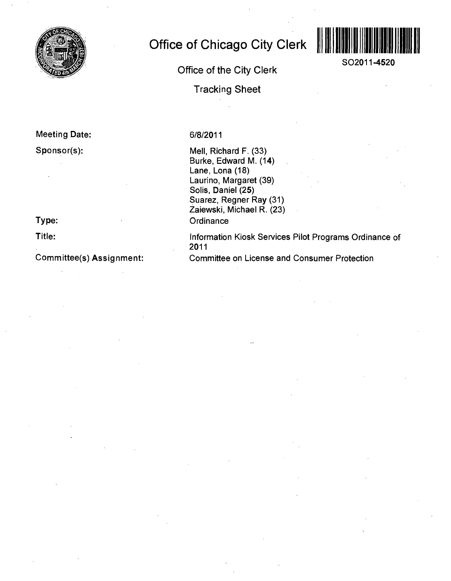

### **Meeting Date:**

### **Sponsor(s):**

## **Type:**

**Title:** 

### **Committee(s) Assignment:**

# **Office of Chicago City Clerk**

# **Office of the City Clerk**

**Tracking Sheet** 



Mell, Richard F. (33) Burke, Edward M. (14) Lane, Lona (18) Laurino, Margaret (39) Solis, Daniel (25) Suarez, Regner Ray (31) Zaiewski, Michael R. (23) **Ordinance** 

Information Kiosk Services Pilot Programs Ordinance of 2011

Committee on License and Consumer Protection



**SO2011-4520**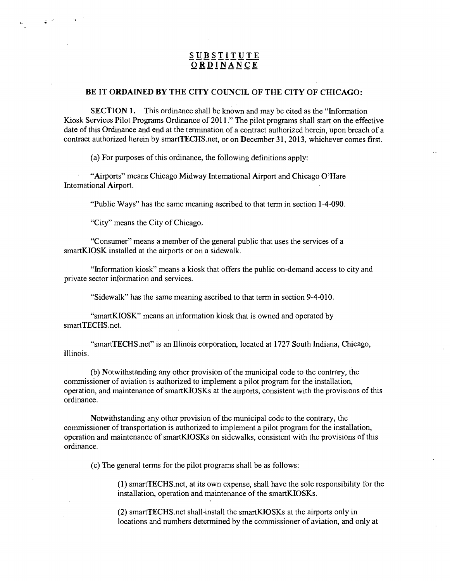### **SUBSTITUTE ORDINANCE**

#### BE IT ORDAINED BY THE CITY COUNCIL OF THE CITY OF CHICAGO:

SECTION 1. This ordinance shall be known and may be cited as the "Information Kiosk Services Pilot Programs Ordinance of 2011." The pilot programs shall start on the effective date of this Ordinance and end at the termination of a contract authorized herein, upon breach of a contract authorized herein by smartTECHS.net, or on December 31, 2013, whichever comes first.

(a) For purposes of this ordinance, the following definitions apply:

"Airports" means Chicago Midway Intemational Airport and Chicago O'Hare Intemational Airport.

"Public Ways" has the same meaning ascribed to that term in section 1-4-090.

"City" means the City of Chicago,

 $\label{eq:2} \mathbb{E} \left[ \mathbb{E} \left[ \mathbf{z} \right] \right] \mathbf{z} = \mathbb{E} \left[ \mathbf{z} \right] \mathbf{z} = \mathbb{E} \left[ \mathbf{z} \right]$ 

"Consumer" means a member of the general public that uses the services of a smartKIOSK installed at the airports or on a sidewalk.

"Information kiosk" means a kiosk that offers the public on-demand access to city and private sector information and services.

"Sidewalk" has the same meaning ascribed to that term in section 9-4-010.

"smartKIOSK" means an information kiosk that is owned and operated by smartTECHS.net.

"smartTECHS.net" is an Illinois corporation, located at 1727 South Indiana, Chicago, Illinois.

(b) Notwithstanding any other provision of the municipal code to the contrary, the commissioner of aviation is authorized to implement a pilot program for the installation, operation, and maintenance of smartKIOSKs at the airports, consistent with the provisions of this ordinance.

Notwithstanding any other provision of the municipal code to the contrary, the commissioner of transportation is authorized to implement a pilot program for the installation, operation and maintenance of smartKIOSKs on sidewalks, consistent with the provisions of this ordinance.

(c) The general terms for the pilot programs shall be as follows:

(1) smartTECHS.net, at its own expense, shall have the sole responsibility for the installation, operation and maintenance of the smartKIOSKs.

(2) smartTECHS.net shall-install the smartKIOSKs at the airports only in locations and numbers determined by the commissioner of aviation, and only at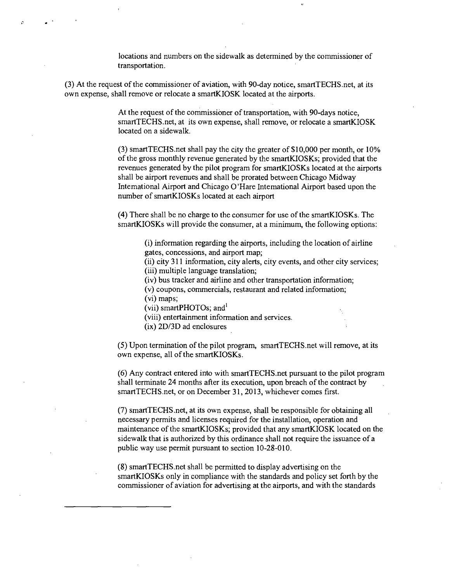locations and numbers on the sidewalk as determined by the commissioner of transportation.

(3) At the request of the commissioner of aviation, with 90-day notice, smartTECHS.net, at its own expense, shall remove or relocate a smartKIOSK located at the airports.

> At the request of the commissioner of transportation, with 90-days notice, smartTECHS.net, at its own expense, shall remove, or relocate a smartKIOSK located on a sidewalk.

(3) smartTECHS.net shall pay the city the greater of \$10,000 per month, or 10% ofthe gross monthly revenue generated by the smartKIOSKs; provided that the revenues generated by the pilot program for smartKIOSKs located at the airports shall be airport revenues and shall be prorated between Chicago Midway Intemational Airport and Chicago O'Hare Intemational Airport based upon the number of smartKIOSKs located at each airport

(4) There shall be no charge to the consumer for use of the smartKIOSKs. The smartKIOSKs will provide the consumer, at a minimum, the following options:

> (i) information regarding the airports, including the location of airline gates, concessions, and airport map;

(ii) city 311 information, city alerts, city events, and other city services; (iii) multiple language translation;

(iv) bus tracker and airline and other transportation information;

(v) coupons, commercials, restaurant and related information; (vi) maps;

(vii) smartPHOTOs; and'

(viii) entertainment information and services.

(ix) 2D/3D ad enclosures

(5) Upon termination of the pilot program, smartTECHS.net will remove, at its own expense, all of the smartKIOSKs.

(6) Any contract entered into with smartTECHS.net pursuant to the pilot program shall terminate 24 months after its execution, upon breach of the contract by smartTECHS.net, or on December 31, 2013, whichever comes first.

(7) smartTECHS.net, at its own expense, shall be responsible for obtaining all necessary permits and licenses required for the installation, operation and maintenance of the smartKIOSKs; provided that any smartKIOSK located on the sidewalk that is authorized by this ordinance shall not require the issuance of a public way use permit pursuant to section 10-28-010.

(8) smartTECHS.net shall be permitted to display advertising on the smartKIOSKs only in compliance with the standards and policy set forth by the commissioner of aviation for advertising at the airports, and with the standards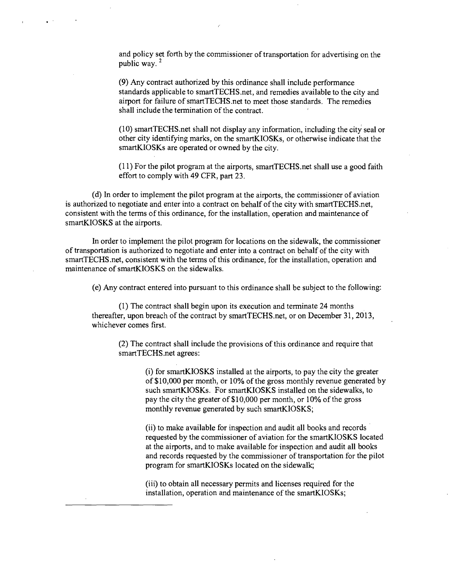and policy set forth by the commissioner of transportation for advertising on the public way. $2$ 

(9) Any contract authorized by this ordinance shall include performance standards applicable to smartTECHS.net, and remedies available to the city and airport for failure of smartTECHS.net to meet those standards. The remedies shall include the termination of the contract.

(10) smartTECHS.net shall not display any information, including the city seal or other city identifying marks, on the smartKIOSKs, or otherwise indicate that the smartKIOSKs are operated or owned by the city.

(11) For the pilot program at the airports, smartTECHS.net shall use a good faith effort to comply with 49 CFR, part 23.

(d) In order to implement the pilot program at the airports, the commissioner of aviation is authorized to negotiate and enter into a contract on behalf of the city with smartTECHS.net, consistent with the terms of this ordinance, for the installation, operation and maintenance of smartKIOSKS at the airports.

In order to implement the pilot program for locations on the sidewalk, the commissioner of transportation is authorized to negotiate and enter into a contract on behalf of the city with smartTECHS.net, consistent with the terms of this ordinance, for the installation, operation and maintenance of smartKIOSKS on the sidewalks.

(e) Any contract entered into pursuant to this ordinance shall be subject to the following:

(1) The contract shall begin upon its execution and terminate 24 months thereafter, upon breach of the contract by smartTECHS.net, or on December 31, 2013, whichever comes first.

(2) The contract shall include the provisions of this ordinance and require that smartTECHS.net agrees:

> (i) for smartKIOSKs installed at the airports, to pay the city the greater of \$10,000 per month, or 10% of the gross monthly revenue generated by such smartKIOSKs. For smartKIOSKS installed on the sidewalks, to pay the city the greater of  $$10,000$  per month, or  $10\%$  of the gross monthly revenue generated by such smartKIOSKS;

> (ii) to make available for inspection and audit all books and records requested by the commissioner of aviation for the smartKIOSKS located at the airports, and to make available for inspection and audit all books and records requested by the commissioner of transportation for the pilot program for smartKIOSKs located on the sidewalk;

(iii) to obtain all necessary permits and licenses required for the installation, operation and maintenance of the smartKIOSKs;